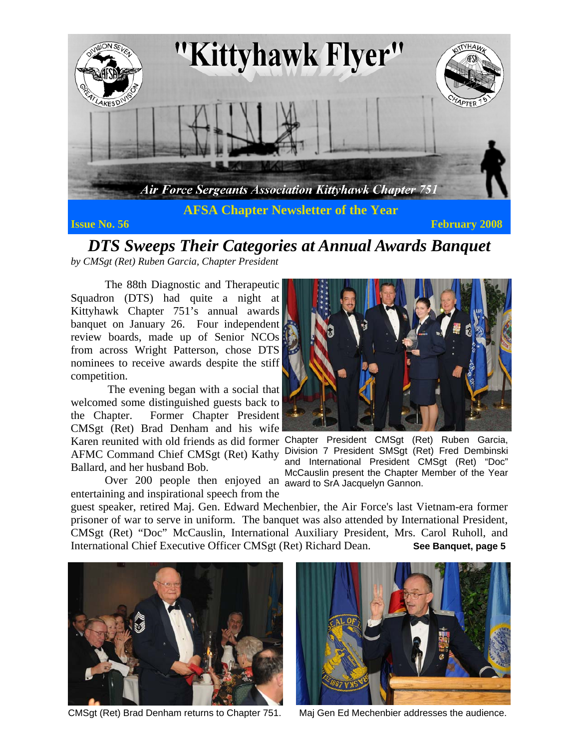

**Issue No. 56 February 2008 Proposed Associates and Associates and Associates and Associates and Associates and Associates and Associates and Associates and Associates and Associates and Associates and Associates and A** 

*DTS Sweeps Their Categories at Annual Awards Banquet by CMSgt (Ret) Ruben Garcia, Chapter President* 

 The 88th Diagnostic and Therapeutic Squadron (DTS) had quite a night at Kittyhawk Chapter 751's annual awards banquet on January 26. Four independent review boards, made up of Senior NCOs from across Wright Patterson, chose DTS nominees to receive awards despite the stiff competition.

 The evening began with a social that welcomed some distinguished guests back to the Chapter. Former Chapter President CMSgt (Ret) Brad Denham and his wife AFMC Command Chief CMSgt (Ret) Kathy Ballard, and her husband Bob.

Over 200 people then enjoyed an award to SrA Jacquelyn Gannon. entertaining and inspirational speech from the



Karen reunited with old friends as did former Chapter President CMSgt (Ret) Ruben Garcia, Division 7 President SMSgt (Ret) Fred Dembinski and International President CMSgt (Ret) "Doc" McCauslin present the Chapter Member of the Year

guest speaker, retired Maj. Gen. Edward Mechenbier, the Air Force's last Vietnam-era former prisoner of war to serve in uniform. The banquet was also attended by International President, CMSgt (Ret) "Doc" McCauslin, International Auxiliary President, Mrs. Carol Ruholl, and International Chief Executive Officer CMSgt (Ret) Richard Dean. **See Banquet, page 5**



CMSgt (Ret) Brad Denham returns to Chapter 751.



Maj Gen Ed Mechenbier addresses the audience.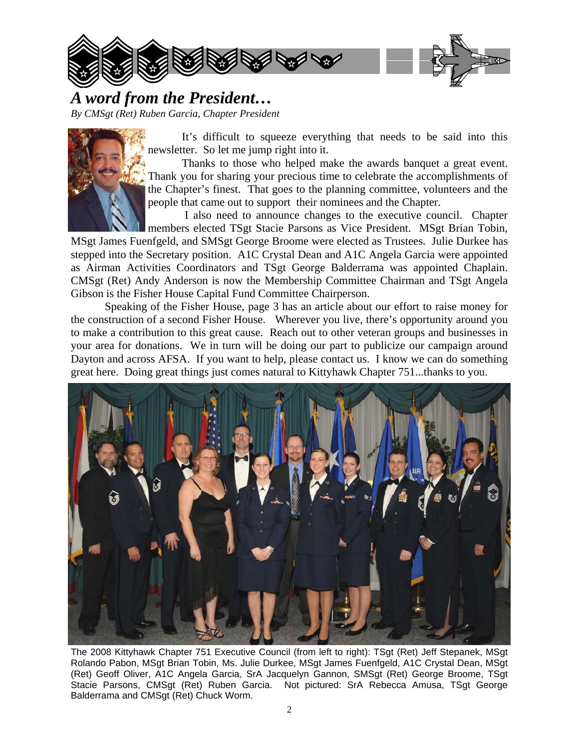

*A word from the President…* 

*By CMSgt (Ret) Ruben Garcia, Chapter President* 



 It's difficult to squeeze everything that needs to be said into this newsletter. So let me jump right into it.

 Thanks to those who helped make the awards banquet a great event. Thank you for sharing your precious time to celebrate the accomplishments of the Chapter's finest. That goes to the planning committee, volunteers and the people that came out to support their nominees and the Chapter.

 I also need to announce changes to the executive council. Chapter members elected TSgt Stacie Parsons as Vice President. MSgt Brian Tobin,

MSgt James Fuenfgeld, and SMSgt George Broome were elected as Trustees. Julie Durkee has stepped into the Secretary position. A1C Crystal Dean and A1C Angela Garcia were appointed as Airman Activities Coordinators and TSgt George Balderrama was appointed Chaplain. CMSgt (Ret) Andy Anderson is now the Membership Committee Chairman and TSgt Angela Gibson is the Fisher House Capital Fund Committee Chairperson.

 Speaking of the Fisher House, page 3 has an article about our effort to raise money for the construction of a second Fisher House. Wherever you live, there's opportunity around you to make a contribution to this great cause. Reach out to other veteran groups and businesses in your area for donations. We in turn will be doing our part to publicize our campaign around Dayton and across AFSA. If you want to help, please contact us. I know we can do something great here. Doing great things just comes natural to Kittyhawk Chapter 751...thanks to you.



The 2008 Kittyhawk Chapter 751 Executive Council (from left to right): TSgt (Ret) Jeff Stepanek, MSgt Rolando Pabon, MSgt Brian Tobin, Ms. Julie Durkee, MSgt James Fuenfgeld, A1C Crystal Dean, MSgt (Ret) Geoff Oliver, A1C Angela Garcia, SrA Jacquelyn Gannon, SMSgt (Ret) George Broome, TSgt Stacie Parsons, CMSgt (Ret) Ruben Garcia. Not pictured: SrA Rebecca Amusa, TSgt George Balderrama and CMSgt (Ret) Chuck Worm.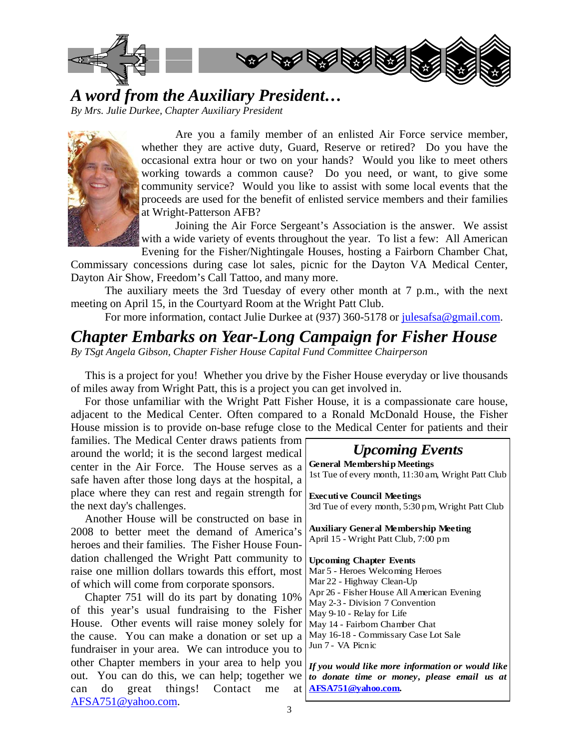

*A word from the Auxiliary President…* 

*By Mrs. Julie Durkee, Chapter Auxiliary President* 



 Are you a family member of an enlisted Air Force service member, whether they are active duty, Guard, Reserve or retired? Do you have the occasional extra hour or two on your hands? Would you like to meet others working towards a common cause? Do you need, or want, to give some community service? Would you like to assist with some local events that the proceeds are used for the benefit of enlisted service members and their families at Wright-Patterson AFB?

 Joining the Air Force Sergeant's Association is the answer. We assist with a wide variety of events throughout the year. To list a few: All American Evening for the Fisher/Nightingale Houses, hosting a Fairborn Chamber Chat,

Commissary concessions during case lot sales, picnic for the Dayton VA Medical Center, Dayton Air Show, Freedom's Call Tattoo, and many more.

 The auxiliary meets the 3rd Tuesday of every other month at 7 p.m., with the next meeting on April 15, in the Courtyard Room at the Wright Patt Club.

For more information, contact Julie Durkee at (937) 360-5178 or julesafsa@gmail.com.

## *Chapter Embarks on Year-Long Campaign for Fisher House*

*By TSgt Angela Gibson, Chapter Fisher House Capital Fund Committee Chairperson* 

 This is a project for you! Whether you drive by the Fisher House everyday or live thousands of miles away from Wright Patt, this is a project you can get involved in.

 For those unfamiliar with the Wright Patt Fisher House, it is a compassionate care house, adjacent to the Medical Center. Often compared to a Ronald McDonald House, the Fisher House mission is to provide on-base refuge close to the Medical Center for patients and their

families. The Medical Center draws patients from around the world; it is the second largest medical center in the Air Force. The House serves as a safe haven after those long days at the hospital, a place where they can rest and regain strength for the next day's challenges.

 Another House will be constructed on base in 2008 to better meet the demand of America's heroes and their families. The Fisher House Foundation challenged the Wright Patt community to raise one million dollars towards this effort, most of which will come from corporate sponsors.

 Chapter 751 will do its part by donating 10% of this year's usual fundraising to the Fisher House. Other events will raise money solely for the cause. You can make a donation or set up a fundraiser in your area. We can introduce you to other Chapter members in your area to help you out. You can do this, we can help; together we can do great things! Contact me at AFSA751@yahoo.com.

#### *Upcoming Events*

**General Membership Meetings**  1st Tue of every month, 11:30 am, Wright Patt Club

**Executive Council Meetings**  3rd Tue of every month, 5:30 pm, Wright Patt Club

**Auxiliary General Membership Meeting**  April 15 - Wright Patt Club, 7:00 pm

**Upcoming Chapter Events**  Mar 5 - Heroes Welcoming Heroes Mar 22 - Highway Clean-Up Apr 26 - Fisher House All American Evening May 2-3 - Division 7 Convention May 9-10 - Relay for Life May 14 - Fairborn Chamber Chat May 16-18 - Commissary Case Lot Sale Jun 7 - VA Picnic

*If you would like more information or would like to donate time or money, please email us at*  **AFSA751@yahoo.com***.*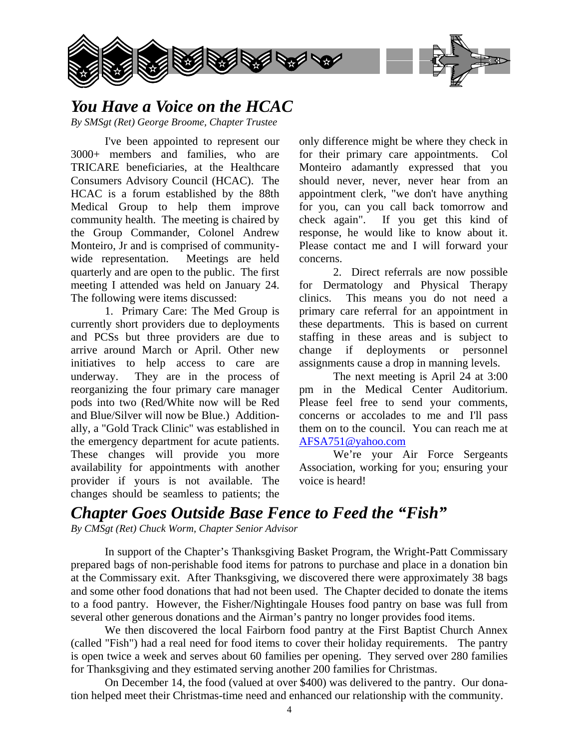

## *You Have a Voice on the HCAC*

*By SMSgt (Ret) George Broome, Chapter Trustee* 

 I've been appointed to represent our 3000+ members and families, who are TRICARE beneficiaries, at the Healthcare Consumers Advisory Council (HCAC). The HCAC is a forum established by the 88th Medical Group to help them improve community health. The meeting is chaired by the Group Commander, Colonel Andrew Monteiro, Jr and is comprised of communitywide representation. Meetings are held quarterly and are open to the public. The first meeting I attended was held on January 24. The following were items discussed:

 1. Primary Care: The Med Group is currently short providers due to deployments and PCSs but three providers are due to arrive around March or April. Other new initiatives to help access to care are underway. They are in the process of reorganizing the four primary care manager pods into two (Red/White now will be Red and Blue/Silver will now be Blue.) Additionally, a "Gold Track Clinic" was established in the emergency department for acute patients. These changes will provide you more availability for appointments with another provider if yours is not available. The changes should be seamless to patients; the

only difference might be where they check in for their primary care appointments. Col Monteiro adamantly expressed that you should never, never, never hear from an appointment clerk, "we don't have anything for you, can you call back tomorrow and check again". If you get this kind of response, he would like to know about it. Please contact me and I will forward your concerns.

 2. Direct referrals are now possible for Dermatology and Physical Therapy clinics. This means you do not need a primary care referral for an appointment in these departments. This is based on current staffing in these areas and is subject to change if deployments or personnel assignments cause a drop in manning levels.

 The next meeting is April 24 at 3:00 pm in the Medical Center Auditorium. Please feel free to send your comments, concerns or accolades to me and I'll pass them on to the council. You can reach me at AFSA751@yahoo.com

 We're your Air Force Sergeants Association, working for you; ensuring your voice is heard!

# *Chapter Goes Outside Base Fence to Feed the "Fish"*

*By CMSgt (Ret) Chuck Worm, Chapter Senior Advisor* 

 In support of the Chapter's Thanksgiving Basket Program, the Wright-Patt Commissary prepared bags of non-perishable food items for patrons to purchase and place in a donation bin at the Commissary exit. After Thanksgiving, we discovered there were approximately 38 bags and some other food donations that had not been used. The Chapter decided to donate the items to a food pantry. However, the Fisher/Nightingale Houses food pantry on base was full from several other generous donations and the Airman's pantry no longer provides food items.

 We then discovered the local Fairborn food pantry at the First Baptist Church Annex (called "Fish") had a real need for food items to cover their holiday requirements. The pantry is open twice a week and serves about 60 families per opening. They served over 280 families for Thanksgiving and they estimated serving another 200 families for Christmas.

 On December 14, the food (valued at over \$400) was delivered to the pantry. Our donation helped meet their Christmas-time need and enhanced our relationship with the community.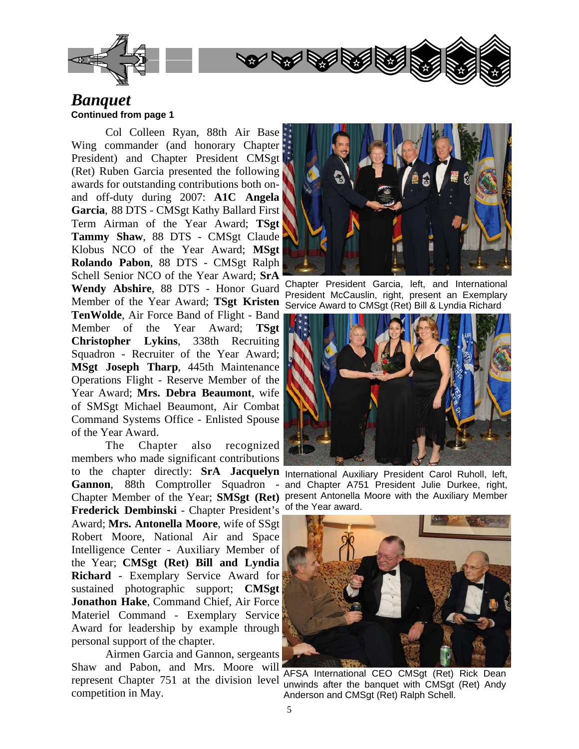

#### *Banquet*  **Continued from page 1**

 Col Colleen Ryan, 88th Air Base Wing commander (and honorary Chapter President) and Chapter President CMSgt (Ret) Ruben Garcia presented the following awards for outstanding contributions both onand off-duty during 2007: **A1C Angela Garcia**, 88 DTS - CMSgt Kathy Ballard First Term Airman of the Year Award; **TSgt Tammy Shaw**, 88 DTS - CMSgt Claude Klobus NCO of the Year Award; **MSgt Rolando Pabon**, 88 DTS - CMSgt Ralph Schell Senior NCO of the Year Award; **SrA Wendy Abshire**, 88 DTS - Honor Guard Member of the Year Award; **TSgt Kristen TenWolde**, Air Force Band of Flight - Band Member of the Year Award; **TSgt Christopher Lykins**, 338th Recruiting Squadron - Recruiter of the Year Award; **MSgt Joseph Tharp**, 445th Maintenance Operations Flight - Reserve Member of the Year Award; **Mrs. Debra Beaumont**, wife of SMSgt Michael Beaumont, Air Combat Command Systems Office - Enlisted Spouse of the Year Award.

 The Chapter also recognized members who made significant contributions to the chapter directly: **SrA Jacquelyn**  International Auxiliary President Carol Ruholl, left, **Gannon**, 88th Comptroller Squadron - Frederick Dembinski - Chapter President's of the Year award. Award; **Mrs. Antonella Moore**, wife of SSgt Robert Moore, National Air and Space Intelligence Center - Auxiliary Member of the Year; **CMSgt (Ret) Bill and Lyndia Richard** - Exemplary Service Award for sustained photographic support; **CMSgt Jonathon Hake**, Command Chief, Air Force Materiel Command - Exemplary Service Award for leadership by example through personal support of the chapter.

 Airmen Garcia and Gannon, sergeants Shaw and Pabon, and Mrs. Moore will competition in May.



Chapter President Garcia, left, and International President McCauslin, right, present an Exemplary Service Award to CMSgt (Ret) Bill & Lyndia Richard



Chapter Member of the Year; **SMSgt (Ret)**  present Antonella Moore with the Auxiliary Member and Chapter A751 President Julie Durkee, right,



represent Chapter 751 at the division level unwinds after the banquet with CMSgt (Ret) Andy AFSA International CEO CMSgt (Ret) Rick Dean Anderson and CMSgt (Ret) Ralph Schell.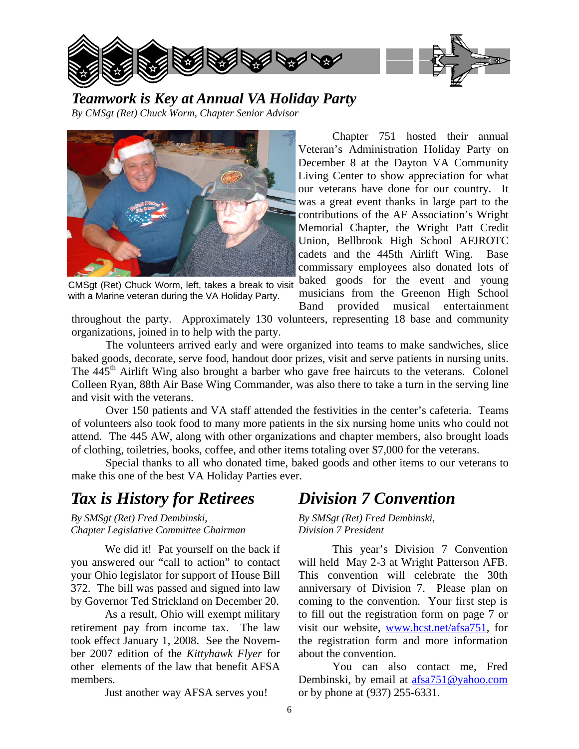

*Teamwork is Key at Annual VA Holiday Party By CMSgt (Ret) Chuck Worm, Chapter Senior Advisor* 



CMSgt (Ret) Chuck Worm, left, takes a break to visit with a Marine veteran during the VA Holiday Party.

Chapter 751 hosted their annual Veteran's Administration Holiday Party on December 8 at the Dayton VA Community Living Center to show appreciation for what our veterans have done for our country. It was a great event thanks in large part to the contributions of the AF Association's Wright Memorial Chapter, the Wright Patt Credit Union, Bellbrook High School AFJROTC cadets and the 445th Airlift Wing. Base commissary employees also donated lots of baked goods for the event and young musicians from the Greenon High School

Band provided musical entertainment

throughout the party. Approximately 130 volunteers, representing 18 base and community organizations, joined in to help with the party.

 The volunteers arrived early and were organized into teams to make sandwiches, slice baked goods, decorate, serve food, handout door prizes, visit and serve patients in nursing units. The 445<sup>th</sup> Airlift Wing also brought a barber who gave free haircuts to the veterans. Colonel Colleen Ryan, 88th Air Base Wing Commander, was also there to take a turn in the serving line and visit with the veterans.

 Over 150 patients and VA staff attended the festivities in the center's cafeteria. Teams of volunteers also took food to many more patients in the six nursing home units who could not attend. The 445 AW, along with other organizations and chapter members, also brought loads of clothing, toiletries, books, coffee, and other items totaling over \$7,000 for the veterans.

 Special thanks to all who donated time, baked goods and other items to our veterans to make this one of the best VA Holiday Parties ever.

## *Tax is History for Retirees*

*By SMSgt (Ret) Fred Dembinski, Chapter Legislative Committee Chairman* 

 We did it! Pat yourself on the back if you answered our "call to action" to contact your Ohio legislator for support of House Bill 372. The bill was passed and signed into law by Governor Ted Strickland on December 20.

 As a result, Ohio will exempt military retirement pay from income tax. The law took effect January 1, 2008. See the November 2007 edition of the *Kittyhawk Flyer* for other elements of the law that benefit AFSA members.

Just another way AFSA serves you!

## *Division 7 Convention*

*By SMSgt (Ret) Fred Dembinski, Division 7 President* 

 This year's Division 7 Convention will held May 2-3 at Wright Patterson AFB. This convention will celebrate the 30th anniversary of Division 7. Please plan on coming to the convention. Your first step is to fill out the registration form on page 7 or visit our website, www.hcst.net/afsa751, for the registration form and more information about the convention.

 You can also contact me, Fred Dembinski, by email at afsa751@yahoo.com or by phone at (937) 255-6331.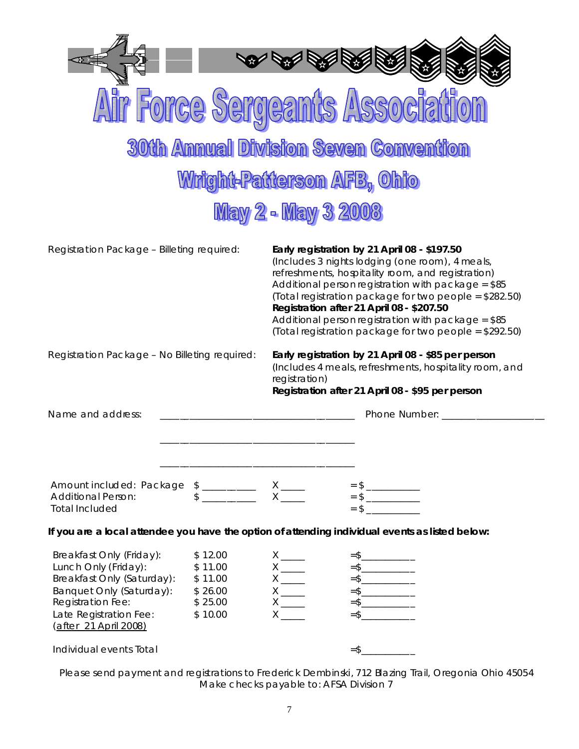| Serdeants<br>SARAA                                                                                                                                                                                                                                   |                                                                                                                                                                                                                                                                                                                                                                                                                                    |
|------------------------------------------------------------------------------------------------------------------------------------------------------------------------------------------------------------------------------------------------------|------------------------------------------------------------------------------------------------------------------------------------------------------------------------------------------------------------------------------------------------------------------------------------------------------------------------------------------------------------------------------------------------------------------------------------|
| <b>30th Annual Division Seven Convention</b>                                                                                                                                                                                                         |                                                                                                                                                                                                                                                                                                                                                                                                                                    |
| Wright-Patterson AFB, Ohio                                                                                                                                                                                                                           |                                                                                                                                                                                                                                                                                                                                                                                                                                    |
| <b>May 2 - May 3 2008</b>                                                                                                                                                                                                                            |                                                                                                                                                                                                                                                                                                                                                                                                                                    |
| Registration Package - Billeting required:                                                                                                                                                                                                           | Early registration by 21 April 08 - \$197.50<br>(Includes 3 nights lodging (one room), 4 meals,<br>refreshments, hospitality room, and registration)<br>Additional person registration with package = \$85<br>(Total registration package for two people = \$282.50)<br>Registration after 21 April 08 - \$207.50<br>Additional person registration with package = $$85$<br>(Total registration package for two people = \$292.50) |
| Registration Package - No Billeting required:                                                                                                                                                                                                        | Early registration by 21 April 08 - \$85 per person<br>(Includes 4 meals, refreshments, hospitality room, and<br>registration)<br>Registration after 21 April 08 - \$95 per person                                                                                                                                                                                                                                                 |
| Name and address:                                                                                                                                                                                                                                    | Phone Number:                                                                                                                                                                                                                                                                                                                                                                                                                      |
| Amount included: Package \$ __________ X ____<br>Additional Person: \$ ________ X ___<br><b>Total Included</b>                                                                                                                                       | $=$ \$                                                                                                                                                                                                                                                                                                                                                                                                                             |
| If you are a local attendee you have the option of attending individual events as listed below:                                                                                                                                                      |                                                                                                                                                                                                                                                                                                                                                                                                                                    |
| Breakfast Only (Friday):<br>\$12.00<br>Lunch Only (Friday):<br>\$11.00<br>Breakfast Only (Saturday):<br>\$11.00<br>Banquet Only (Saturday):<br>\$26.00<br>Registration Fee:<br>\$25.00<br>Late Registration Fee:<br>\$10.00<br>(after 21 April 2008) | $=$ \$_______________<br>$X \underline{\hspace{1cm}}$<br>$=$ \$__________________<br>$=$ \$______________<br>$=$ \$________________<br>$X \underline{\hspace{1cm}}$<br>$=$ \$                                                                                                                                                                                                                                                      |
| Individual events Total                                                                                                                                                                                                                              | $=$ \$________________                                                                                                                                                                                                                                                                                                                                                                                                             |

Please send payment and registrations to Frederick Dembinski, 712 Blazing Trail, Oregonia Ohio 45054 Make checks payable to: AFSA Division 7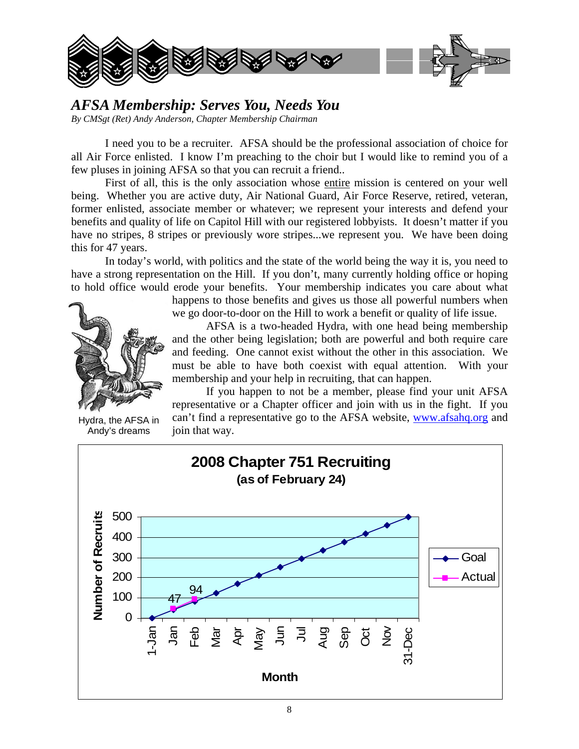

#### *AFSA Membership: Serves You, Needs You By CMSgt (Ret) Andy Anderson, Chapter Membership Chairman*

 I need you to be a recruiter. AFSA should be the professional association of choice for all Air Force enlisted. I know I'm preaching to the choir but I would like to remind you of a few pluses in joining AFSA so that you can recruit a friend..

 First of all, this is the only association whose entire mission is centered on your well being. Whether you are active duty, Air National Guard, Air Force Reserve, retired, veteran, former enlisted, associate member or whatever; we represent your interests and defend your benefits and quality of life on Capitol Hill with our registered lobbyists. It doesn't matter if you have no stripes, 8 stripes or previously wore stripes...we represent you. We have been doing this for 47 years.

 In today's world, with politics and the state of the world being the way it is, you need to have a strong representation on the Hill. If you don't, many currently holding office or hoping to hold office would erode your benefits. Your membership indicates you care about what



Hydra, the AFSA in Andy's dreams

happens to those benefits and gives us those all powerful numbers when we go door-to-door on the Hill to work a benefit or quality of life issue.

 AFSA is a two-headed Hydra, with one head being membership and the other being legislation; both are powerful and both require care and feeding. One cannot exist without the other in this association. We must be able to have both coexist with equal attention. With your membership and your help in recruiting, that can happen.

 If you happen to not be a member, please find your unit AFSA representative or a Chapter officer and join with us in the fight. If you can't find a representative go to the AFSA website, www.afsahq.org and join that way.

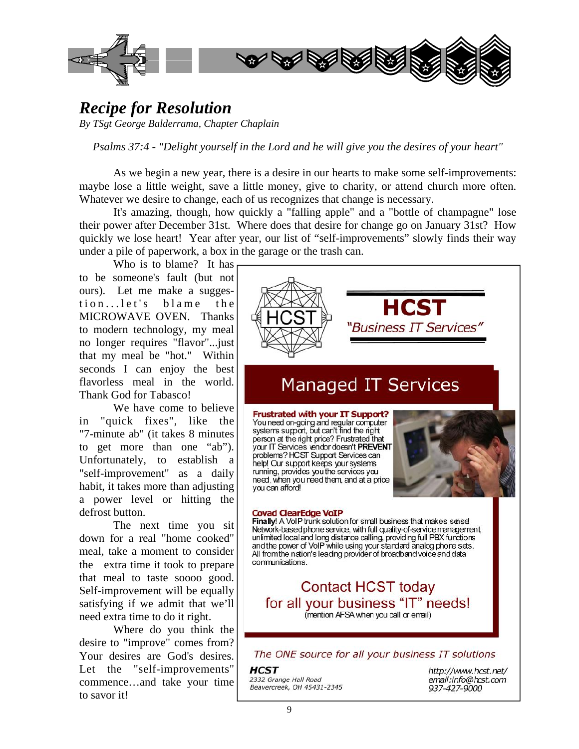

## *Recipe for Resolution*

*By TSgt George Balderrama, Chapter Chaplain* 

*Psalms 37:4 - "Delight yourself in the Lord and he will give you the desires of your heart"* 

 As we begin a new year, there is a desire in our hearts to make some self-improvements: maybe lose a little weight, save a little money, give to charity, or attend church more often. Whatever we desire to change, each of us recognizes that change is necessary.

 It's amazing, though, how quickly a "falling apple" and a "bottle of champagne" lose their power after December 31st. Where does that desire for change go on January 31st? How quickly we lose heart! Year after year, our list of "self-improvements" slowly finds their way under a pile of paperwork, a box in the garage or the trash can.

 Who is to blame? It has to be someone's fault (but not ours). Let me make a suggestion...let's blame the MICROWAVE OVEN. Thanks to modern technology, my meal no longer requires "flavor"...just that my meal be "hot." Within seconds I can enjoy the best flavorless meal in the world. Thank God for Tabasco!

 We have come to believe in "quick fixes", like the "7-minute ab" (it takes 8 minutes to get more than one "ab"). Unfortunately, to establish a "self-improvement" as a daily habit, it takes more than adjusting a power level or hitting the defrost button.

 The next time you sit down for a real "home cooked" meal, take a moment to consider the extra time it took to prepare that meal to taste soooo good. Self-improvement will be equally satisfying if we admit that we'll need extra time to do it right.

 Where do you think the desire to "improve" comes from? Your desires are God's desires. Let the "self-improvements" commence…and take your time to savor it!